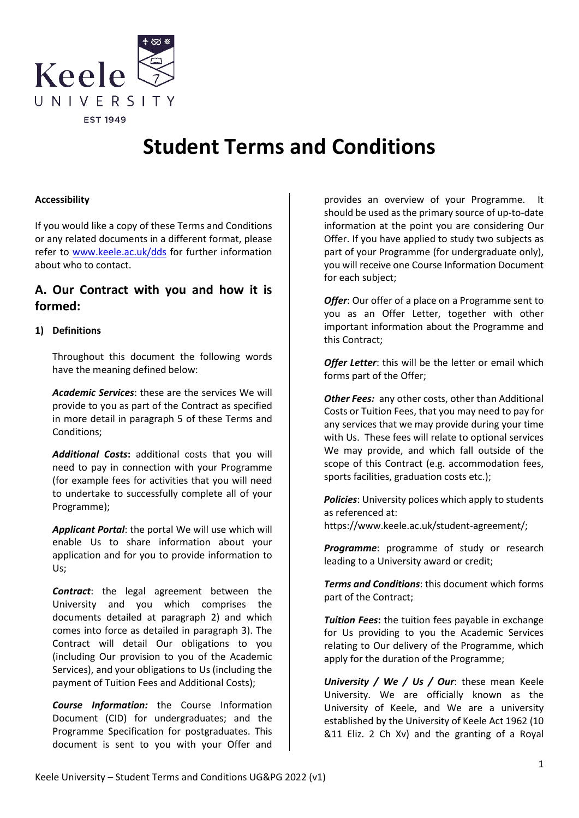

# **Student Terms and Conditions**

# **Accessibility**

If you would like a copy of these Terms and Conditions or any related documents in a different format, please refer to [www.keele.ac.uk/dds](http://www.keele.ac.uk/dds) for further information about who to contact.

# **A. Our Contract with you and how it is formed:**

# **1) Definitions**

Throughout this document the following words have the meaning defined below:

*Academic Services*: these are the services We will provide to you as part of the Contract as specified in more detail in paragraph 5 of these Terms and Conditions;

*Additional Costs***:** additional costs that you will need to pay in connection with your Programme (for example fees for activities that you will need to undertake to successfully complete all of your Programme);

*Applicant Portal*: the portal We will use which will enable Us to share information about your application and for you to provide information to Us;

*Contract*: the legal agreement between the University and you which comprises the documents detailed at paragraph [2\)](#page-1-0) and which comes into force as detailed in paragraph [3\).](#page-1-1) The Contract will detail Our obligations to you (including Our provision to you of the Academic Services), and your obligations to Us (including the payment of Tuition Fees and Additional Costs);

*Course Information:* the Course Information Document (CID) for undergraduates; and the Programme Specification for postgraduates. This document is sent to you with your Offer and

provides an overview of your Programme. It should be used as the primary source of up-to-date information at the point you are considering Our Offer. If you have applied to study two subjects as part of your Programme (for undergraduate only), you will receive one Course Information Document for each subject;

**Offer:** Our offer of a place on a Programme sent to you as an Offer Letter, together with other important information about the Programme and this Contract;

*Offer Letter*: this will be the letter or email which forms part of the Offer;

**Other Fees:** any other costs, other than Additional Costs or Tuition Fees, that you may need to pay for any services that we may provide during your time with Us. These fees will relate to optional services We may provide, and which fall outside of the scope of this Contract (e.g. accommodation fees, sports facilities, graduation costs etc.);

*Policies*: University polices which apply to students as referenced at:

https://www.keele.ac.uk/student-agreement/;

*Programme*: programme of study or research leading to a University award or credit;

*Terms and Conditions*: this document which forms part of the Contract;

*Tuition Fees***:** the tuition fees payable in exchange for Us providing to you the Academic Services relating to Our delivery of the Programme, which apply for the duration of the Programme;

*University / We / Us / Our*: these mean Keele University. We are officially known as the University of Keele, and We are a university established by the University of Keele Act 1962 (10 &11 Eliz. 2 Ch Xv) and the granting of a Royal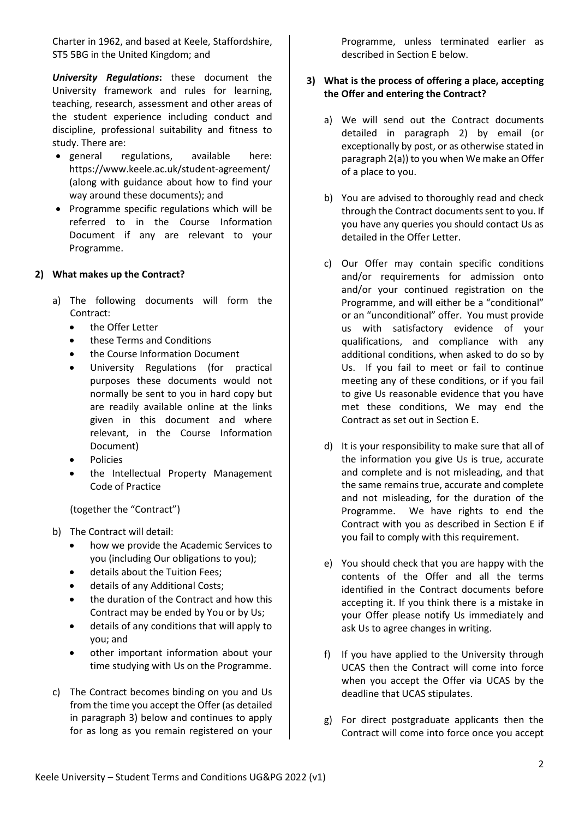Charter in 1962, and based at Keele, Staffordshire, ST5 5BG in the United Kingdom; and

*University Regulations***:** these document the University framework and rules for learning, teaching, research, assessment and other areas of the student experience including conduct and discipline, professional suitability and fitness to study. There are:

- general regulations, available here: https://www.keele.ac.uk/student-agreement/ (along with guidance about how to find your way around these documents); and
- Programme specific regulations which will be referred to in the Course Information Document if any are relevant to your Programme.

# <span id="page-1-0"></span>**2) What makes up the Contract?**

- a) The following documents will form the Contract:
	- the Offer Letter
	- these Terms and Conditions
	- the Course Information Document
	- University Regulations (for practical purposes these documents would not normally be sent to you in hard copy but are readily available online at the links given in this document and where relevant, in the Course Information Document)
	- Policies
	- the Intellectual Property Management Code of Practice

(together the "Contract")

- b) The Contract will detail:
	- how we provide the Academic Services to you (including Our obligations to you);
	- details about the Tuition Fees;
	- details of any Additional Costs;
	- the duration of the Contract and how this Contract may be ended by You or by Us;
	- details of any conditions that will apply to you; and
	- other important information about your time studying with Us on the Programme.
- c) The Contract becomes binding on you and Us from the time you accept the Offer (as detailed in paragraph [3\)](#page-1-1) below and continues to apply for as long as you remain registered on your

Programme, unless terminated earlier as described in Section E below.

# <span id="page-1-1"></span>**3) What is the process of offering a place, accepting the Offer and entering the Contract?**

- a) We will send out the Contract documents detailed in paragraph [2\)](#page-1-0) by email (or exceptionally by post, or as otherwise stated in paragraph 2(a)) to you when We make an Offer of a place to you.
- b) You are advised to thoroughly read and check through the Contract documents sent to you. If you have any queries you should contact Us as detailed in the Offer Letter.
- c) Our Offer may contain specific conditions and/or requirements for admission onto and/or your continued registration on the Programme, and will either be a "conditional" or an "unconditional" offer. You must provide us with satisfactory evidence of your qualifications, and compliance with any additional conditions, when asked to do so by Us. If you fail to meet or fail to continue meeting any of these conditions, or if you fail to give Us reasonable evidence that you have met these conditions, We may end the Contract as set out in Section E.
- d) It is your responsibility to make sure that all of the information you give Us is true, accurate and complete and is not misleading, and that the same remains true, accurate and complete and not misleading, for the duration of the Programme. We have rights to end the Contract with you as described in Section E if you fail to comply with this requirement.
- e) You should check that you are happy with the contents of the Offer and all the terms identified in the Contract documents before accepting it. If you think there is a mistake in your Offer please notify Us immediately and ask Us to agree changes in writing.
- f) If you have applied to the University through UCAS then the Contract will come into force when you accept the Offer via UCAS by the deadline that UCAS stipulates.
- g) For direct postgraduate applicants then the Contract will come into force once you accept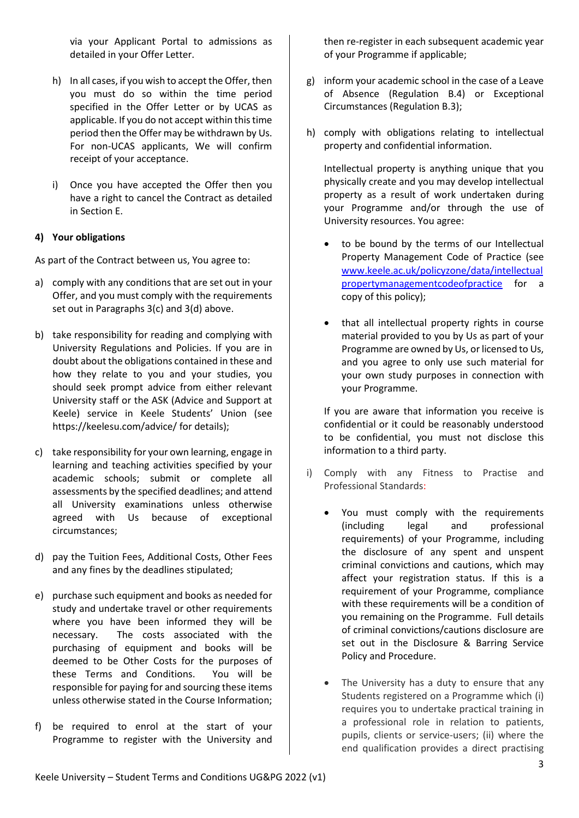via your Applicant Portal to admissions as detailed in your Offer Letter.

- h) In all cases, if you wish to accept the Offer, then you must do so within the time period specified in the Offer Letter or by UCAS as applicable. If you do not accept within this time period then the Offer may be withdrawn by Us. For non-UCAS applicants, We will confirm receipt of your acceptance.
- i) Once you have accepted the Offer then you have a right to cancel the Contract as detailed in Section E.

# **4) Your obligations**

As part of the Contract between us, You agree to:

- a) comply with any conditions that are set out in your Offer, and you must comply with the requirements set out in Paragraphs 3(c) and 3(d) above.
- b) take responsibility for reading and complying with University Regulations and Policies. If you are in doubt about the obligations contained in these and how they relate to you and your studies, you should seek prompt advice from either relevant University staff or the ASK (Advice and Support at Keele) service in Keele Students' Union (see https://keelesu.com/advice/ for details);
- c) take responsibility for your own learning, engage in learning and teaching activities specified by your academic schools; submit or complete all assessments by the specified deadlines; and attend all University examinations unless otherwise agreed with Us because of exceptional circumstances;
- d) pay the Tuition Fees, Additional Costs, Other Fees and any fines by the deadlines stipulated;
- e) purchase such equipment and books as needed for study and undertake travel or other requirements where you have been informed they will be necessary. The costs associated with the purchasing of equipment and books will be deemed to be Other Costs for the purposes of these Terms and Conditions. You will be responsible for paying for and sourcing these items unless otherwise stated in the Course Information;
- f) be required to enrol at the start of your Programme to register with the University and

then re-register in each subsequent academic year of your Programme if applicable;

- g) inform your academic school in the case of a Leave of Absence (Regulation B.4) or Exceptional Circumstances (Regulation B.3);
- h) comply with obligations relating to intellectual property and confidential information.

Intellectual property is anything unique that you physically create and you may develop intellectual property as a result of work undertaken during your Programme and/or through the use of University resources. You agree:

- to be bound by the terms of our Intellectual Property Management Code of Practice (see [www.keele.ac.uk/policyzone/data/intellectual](http://www.keele.ac.uk/policyzone/data/intellectualpropertymanagementcodeofpractice) [propertymanagementcodeofpractice](http://www.keele.ac.uk/policyzone/data/intellectualpropertymanagementcodeofpractice) for a copy of this policy);
- that all intellectual property rights in course material provided to you by Us as part of your Programme are owned by Us, or licensed to Us, and you agree to only use such material for your own study purposes in connection with your Programme.

If you are aware that information you receive is confidential or it could be reasonably understood to be confidential, you must not disclose this information to a third party.

- i) Comply with any Fitness to Practise and Professional Standards:
	- You must comply with the requirements (including legal and professional requirements) of your Programme, including the disclosure of any spent and unspent criminal convictions and cautions, which may affect your registration status. If this is a requirement of your Programme, compliance with these requirements will be a condition of you remaining on the Programme. Full details of criminal convictions/cautions disclosure are set out in the Disclosure & Barring Service Policy and Procedure.
	- The University has a duty to ensure that any Students registered on a Programme which (i) requires you to undertake practical training in a professional role in relation to patients, pupils, clients or service-users; (ii) where the end qualification provides a direct practising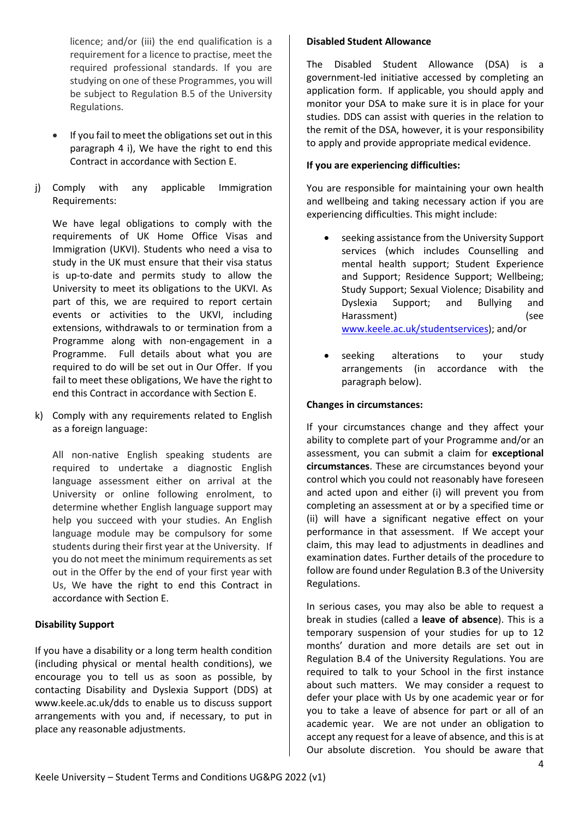licence; and/or (iii) the end qualification is a requirement for a licence to practise, meet the required professional standards. If you are studying on one of these Programmes, you will be subject to Regulation B.5 of the University Regulations.

- If you fail to meet the obligations set out in this paragraph 4 i), We have the right to end this Contract in accordance with Section E.
- j) Comply with any applicable Immigration Requirements:

We have legal obligations to comply with the requirements of UK Home Office Visas and Immigration (UKVI). Students who need a visa to study in the UK must ensure that their visa status is up-to-date and permits study to allow the University to meet its obligations to the UKVI. As part of this, we are required to report certain events or activities to the UKVI, including extensions, withdrawals to or termination from a Programme along with non-engagement in a Programme. Full details about what you are required to do will be set out in Our Offer. If you fail to meet these obligations, We have the right to end this Contract in accordance with Section E.

k) Comply with any requirements related to English as a foreign language:

All non-native English speaking students are required to undertake a diagnostic English language assessment either on arrival at the University or online following enrolment, to determine whether English language support may help you succeed with your studies. An English language module may be compulsory for some students during their first year at the University. If you do not meet the minimum requirements as set out in the Offer by the end of your first year with Us, We have the right to end this Contract in accordance with Section E.

# **Disability Support**

If you have a disability or a long term health condition (including physical or mental health conditions), we encourage you to tell us as soon as possible, by contacting Disability and Dyslexia Support (DDS) at www.keele.ac.uk/dds to enable us to discuss support arrangements with you and, if necessary, to put in place any reasonable adjustments.

#### **Disabled Student Allowance**

The Disabled Student Allowance (DSA) is a government-led initiative accessed by completing an application form. If applicable, you should apply and monitor your DSA to make sure it is in place for your studies. DDS can assist with queries in the relation to the remit of the DSA, however, it is your responsibility to apply and provide appropriate medical evidence.

#### **If you are experiencing difficulties:**

You are responsible for maintaining your own health and wellbeing and taking necessary action if you are experiencing difficulties. This might include:

- seeking assistance from the University Support services (which includes Counselling and mental health support; Student Experience and Support; Residence Support; Wellbeing; Study Support; Sexual Violence; Disability and Dyslexia Support; and Bullying and Harassment) (see [www.keele.ac.uk/studentservices\)](http://www.keele.ac.uk/studentservices); and/or
- seeking alterations to your study arrangements (in accordance with the paragraph below).

#### **Changes in circumstances:**

If your circumstances change and they affect your ability to complete part of your Programme and/or an assessment, you can submit a claim for **exceptional circumstances**. These are circumstances beyond your control which you could not reasonably have foreseen and acted upon and either (i) will prevent you from completing an assessment at or by a specified time or (ii) will have a significant negative effect on your performance in that assessment. If We accept your claim, this may lead to adjustments in deadlines and examination dates. Further details of the procedure to follow are found under Regulation B.3 of the University Regulations.

In serious cases, you may also be able to request a break in studies (called a **leave of absence**). This is a temporary suspension of your studies for up to 12 months' duration and more details are set out in Regulation B.4 of the University Regulations. You are required to talk to your School in the first instance about such matters. We may consider a request to defer your place with Us by one academic year or for you to take a leave of absence for part or all of an academic year. We are not under an obligation to accept any request for a leave of absence, and this is at Our absolute discretion. You should be aware that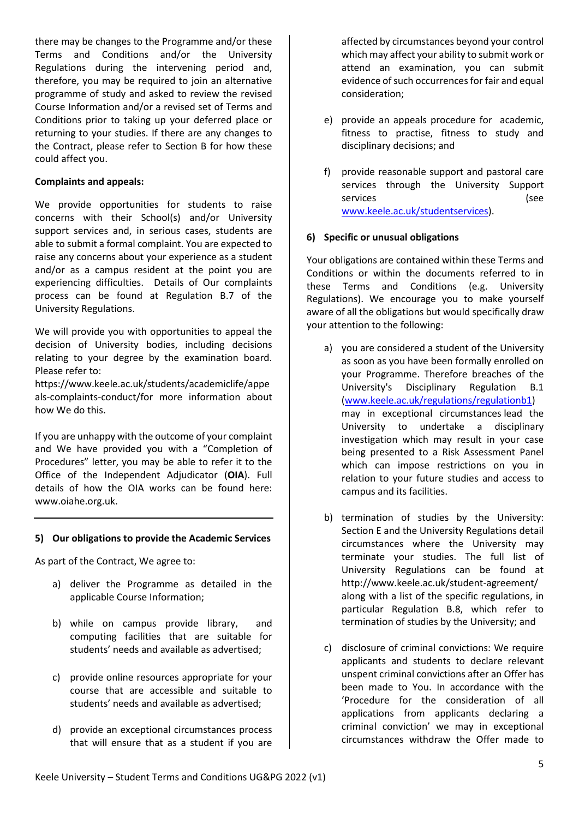there may be changes to the Programme and/or these Terms and Conditions and/or the University Regulations during the intervening period and, therefore, you may be required to join an alternative programme of study and asked to review the revised Course Information and/or a revised set of Terms and Conditions prior to taking up your deferred place or returning to your studies. If there are any changes to the Contract, please refer to Section B for how these could affect you.

#### **Complaints and appeals:**

We provide opportunities for students to raise concerns with their School(s) and/or University support services and, in serious cases, students are able to submit a formal complaint. You are expected to raise any concerns about your experience as a student and/or as a campus resident at the point you are experiencing difficulties. Details of Our complaints process can be found at Regulation B.7 of the University Regulations.

We will provide you with opportunities to appeal the decision of University bodies, including decisions relating to your degree by the examination board. Please refer to:

https://www.keele.ac.uk/students/academiclife/appe als-complaints-conduct/for more information about how We do this.

If you are unhappy with the outcome of your complaint and We have provided you with a "Completion of Procedures" letter, you may be able to refer it to the Office of the Independent Adjudicator (**OIA**). Full details of how the OIA works can be found here: www.oiahe.org.uk.

#### **5) Our obligations to provide the Academic Services**

As part of the Contract, We agree to:

- a) deliver the Programme as detailed in the applicable Course Information;
- b) while on campus provide library, and computing facilities that are suitable for students' needs and available as advertised;
- c) provide online resources appropriate for your course that are accessible and suitable to students' needs and available as advertised;
- d) provide an exceptional circumstances process that will ensure that as a student if you are

affected by circumstances beyond your control which may affect your ability to submit work or attend an examination, you can submit evidence of such occurrences for fair and equal consideration;

- e) provide an appeals procedure for academic, fitness to practise, fitness to study and disciplinary decisions; and
- f) provide reasonable support and pastoral care services through the University Support services (see [www.keele.ac.uk/studentservices\)](http://www.keele.ac.uk/students/studentservices/).

# **6) Specific or unusual obligations**

Your obligations are contained within these Terms and Conditions or within the documents referred to in these Terms and Conditions (e.g. University Regulations). We encourage you to make yourself aware of all the obligations but would specifically draw your attention to the following:

- a) you are considered a student of the University as soon as you have been formally enrolled on your Programme. Therefore breaches of the University's Disciplinary Regulation B.1 [\(www.keele.ac.uk/regulations/regulationb1\)](http://www.keele.ac.uk/regulations/regulationb1/) may in exceptional circumstances lead the University to undertake a disciplinary investigation which may result in your case being presented to a Risk Assessment Panel which can impose restrictions on you in relation to your future studies and access to campus and its facilities.
- b) termination of studies by the University: Section E and the University Regulations detail circumstances where the University may terminate your studies. The full list of University Regulations can be found at http://www.keele.ac.uk/student-agreement/ along with a list of the specific regulations, in particular Regulation B.8, which refer to termination of studies by the University; and
- c) disclosure of criminal convictions: We require applicants and students to declare relevant unspent criminal convictions after an Offer has been made to You. In accordance with the 'Procedure for the consideration of all applications from applicants declaring a criminal conviction' we may in exceptional circumstances withdraw the Offer made to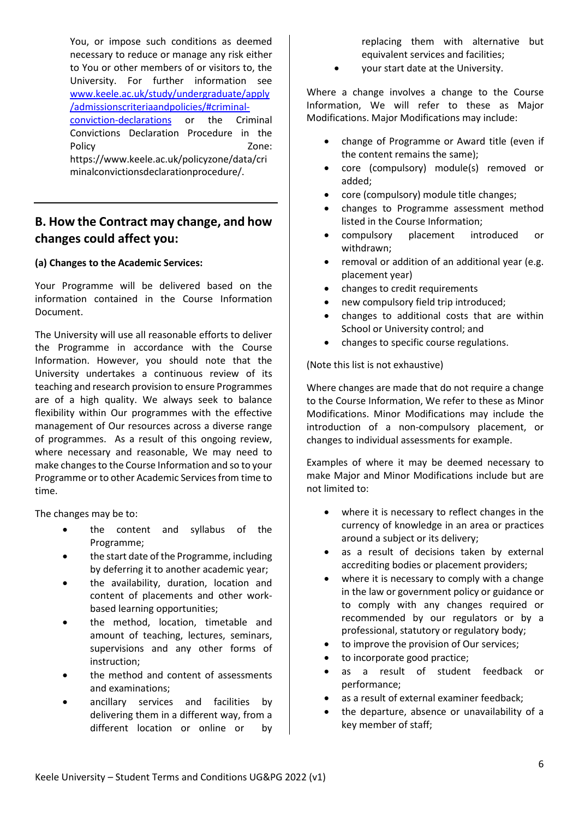You, or impose such conditions as deemed necessary to reduce or manage any risk either to You or other members of or visitors to, the University. For further information see [www.keele.ac.uk/study/undergraduate/apply](http://www.keele.ac.uk/study/undergraduate/apply/admissionscriteriaandpolicies/#criminal-conviction-declarations) [/admissionscriteriaandpolicies/#criminal](http://www.keele.ac.uk/study/undergraduate/apply/admissionscriteriaandpolicies/#criminal-conviction-declarations)[conviction-declarations](http://www.keele.ac.uk/study/undergraduate/apply/admissionscriteriaandpolicies/#criminal-conviction-declarations) or the Criminal Convictions Declaration Procedure in the Policy **Districts Zone:** https://www.keele.ac.uk/policyzone/data/cri minalconvictionsdeclarationprocedure/.

# **B. How the Contract may change, and how changes could affect you:**

# **(a) Changes to the Academic Services:**

Your Programme will be delivered based on the information contained in the Course Information Document.

The University will use all reasonable efforts to deliver the Programme in accordance with the Course Information. However, you should note that the University undertakes a continuous review of its teaching and research provision to ensure Programmes are of a high quality. We always seek to balance flexibility within Our programmes with the effective management of Our resources across a diverse range of programmes. As a result of this ongoing review, where necessary and reasonable, We may need to make changes to the Course Information and so to your Programme or to other Academic Services from time to time.

The changes may be to:

- the content and syllabus of the Programme;
- the start date of the Programme, including by deferring it to another academic year;
- the availability, duration, location and content of placements and other workbased learning opportunities;
- the method, location, timetable and amount of teaching, lectures, seminars, supervisions and any other forms of instruction;
- the method and content of assessments and examinations;
- ancillary services and facilities by delivering them in a different way, from a different location or online or by

replacing them with alternative but equivalent services and facilities;

• your start date at the University.

Where a change involves a change to the Course Information, We will refer to these as Major Modifications. Major Modifications may include:

- change of Programme or Award title (even if the content remains the same);
- core (compulsory) module(s) removed or added;
- core (compulsory) module title changes;
- changes to Programme assessment method listed in the Course Information;
- compulsory placement introduced or withdrawn;
- removal or addition of an additional year (e.g. placement year)
- changes to credit requirements
- new compulsory field trip introduced;
- changes to additional costs that are within School or University control; and
- changes to specific course regulations.

(Note this list is not exhaustive)

Where changes are made that do not require a change to the Course Information, We refer to these as Minor Modifications. Minor Modifications may include the introduction of a non-compulsory placement, or changes to individual assessments for example.

Examples of where it may be deemed necessary to make Major and Minor Modifications include but are not limited to:

- where it is necessary to reflect changes in the currency of knowledge in an area or practices around a subject or its delivery;
- as a result of decisions taken by external accrediting bodies or placement providers;
- where it is necessary to comply with a change in the law or government policy or guidance or to comply with any changes required or recommended by our regulators or by a professional, statutory or regulatory body;
- to improve the provision of Our services;
- to incorporate good practice;
- as a result of student feedback or performance;
- as a result of external examiner feedback;
- the departure, absence or unavailability of a key member of staff;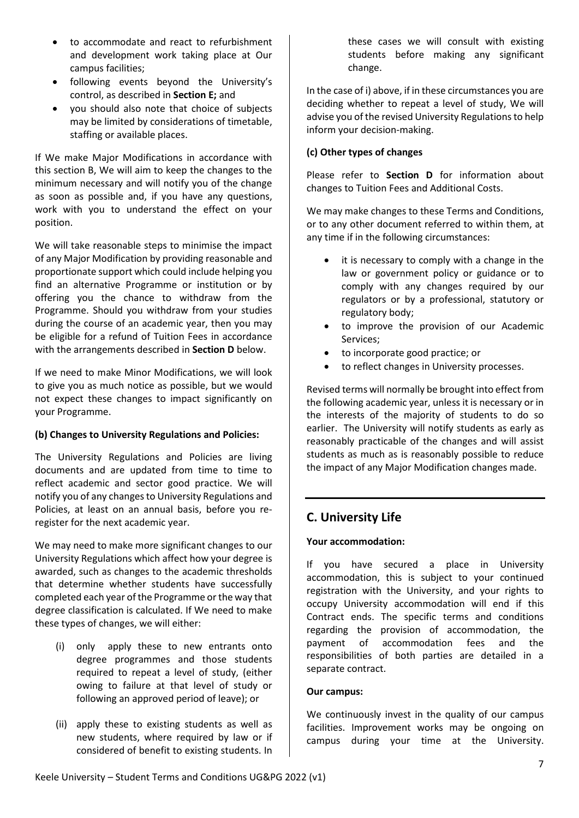- to accommodate and react to refurbishment and development work taking place at Our campus facilities;
- following events beyond the University's control, as described in **Section E;** and
- you should also note that choice of subjects may be limited by considerations of timetable, staffing or available places.

If We make Major Modifications in accordance with this section B, We will aim to keep the changes to the minimum necessary and will notify you of the change as soon as possible and, if you have any questions, work with you to understand the effect on your position.

We will take reasonable steps to minimise the impact of any Major Modification by providing reasonable and proportionate support which could include helping you find an alternative Programme or institution or by offering you the chance to withdraw from the Programme. Should you withdraw from your studies during the course of an academic year, then you may be eligible for a refund of Tuition Fees in accordance with the arrangements described in **Section D** below.

If we need to make Minor Modifications, we will look to give you as much notice as possible, but we would not expect these changes to impact significantly on your Programme.

# **(b) Changes to University Regulations and Policies:**

The University Regulations and Policies are living documents and are updated from time to time to reflect academic and sector good practice. We will notify you of any changes to University Regulations and Policies, at least on an annual basis, before you reregister for the next academic year.

We may need to make more significant changes to our University Regulations which affect how your degree is awarded, such as changes to the academic thresholds that determine whether students have successfully completed each year of the Programme or the way that degree classification is calculated. If We need to make these types of changes, we will either:

- (i) only apply these to new entrants onto degree programmes and those students required to repeat a level of study, (either owing to failure at that level of study or following an approved period of leave); or
- (ii) apply these to existing students as well as new students, where required by law or if considered of benefit to existing students. In

these cases we will consult with existing students before making any significant change.

In the case of i) above, if in these circumstances you are deciding whether to repeat a level of study, We will advise you of the revised University Regulations to help inform your decision-making.

# **(c) Other types of changes**

Please refer to **Section D** for information about changes to Tuition Fees and Additional Costs.

We may make changes to these Terms and Conditions, or to any other document referred to within them, at any time if in the following circumstances:

- it is necessary to comply with a change in the law or government policy or guidance or to comply with any changes required by our regulators or by a professional, statutory or regulatory body;
- to improve the provision of our Academic Services;
- to incorporate good practice; or
- to reflect changes in University processes.

Revised terms will normally be brought into effect from the following academic year, unless it is necessary or in the interests of the majority of students to do so earlier. The University will notify students as early as reasonably practicable of the changes and will assist students as much as is reasonably possible to reduce the impact of any Major Modification changes made.

# **C. University Life**

# **Your accommodation:**

If you have secured a place in University accommodation, this is subject to your continued registration with the University, and your rights to occupy University accommodation will end if this Contract ends. The specific terms and conditions regarding the provision of accommodation, the payment of accommodation fees and the responsibilities of both parties are detailed in a separate contract.

# **Our campus:**

We continuously invest in the quality of our campus facilities. Improvement works may be ongoing on campus during your time at the University.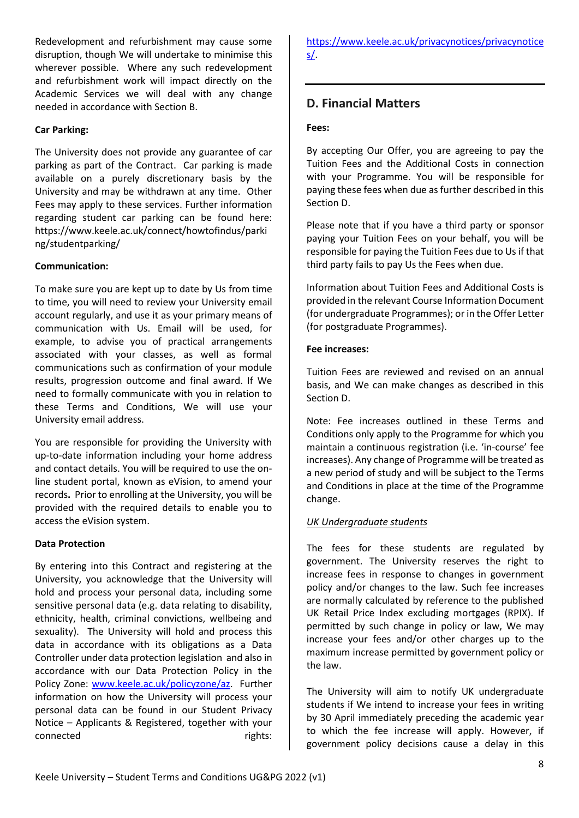Redevelopment and refurbishment may cause some disruption, though We will undertake to minimise this wherever possible. Where any such redevelopment and refurbishment work will impact directly on the Academic Services we will deal with any change needed in accordance with Section B.

#### **Car Parking:**

The University does not provide any guarantee of car parking as part of the Contract. Car parking is made available on a purely discretionary basis by the University and may be withdrawn at any time. Other Fees may apply to these services. Further information regarding student car parking can be found here: https://www.keele.ac.uk/connect/howtofindus/parki ng/studentparking/

# **Communication:**

To make sure you are kept up to date by Us from time to time, you will need to review your University email account regularly, and use it as your primary means of communication with Us. Email will be used, for example, to advise you of practical arrangements associated with your classes, as well as formal communications such as confirmation of your module results, progression outcome and final award. If We need to formally communicate with you in relation to these Terms and Conditions, We will use your University email address.

You are responsible for providing the University with up-to-date information including your home address and contact details. You will be required to use the online student portal, known as eVision, to amend your records**.** Prior to enrolling at the University, you will be provided with the required details to enable you to access the eVision system.

#### **Data Protection**

By entering into this Contract and registering at the University, you acknowledge that the University will hold and process your personal data, including some sensitive personal data (e.g. data relating to disability, ethnicity, health, criminal convictions, wellbeing and sexuality). The University will hold and process this data in accordance with its obligations as a Data Controller under data protection legislation and also in accordance with our Data Protection Policy in the Policy Zone: [www.keele.ac.uk/policyzone/az.](http://www.keele.ac.uk/policyzone/az/) Further information on how the University will process your personal data can be found in our Student Privacy Notice – Applicants & Registered, together with your connected rights: [https://www.keele.ac.uk/privacynotices/privacynotice](https://www.keele.ac.uk/privacynotices/privacynotices/) [s/.](https://www.keele.ac.uk/privacynotices/privacynotices/)

# **D. Financial Matters**

#### **Fees:**

By accepting Our Offer, you are agreeing to pay the Tuition Fees and the Additional Costs in connection with your Programme. You will be responsible for paying these fees when due as further described in this Section D.

Please note that if you have a third party or sponsor paying your Tuition Fees on your behalf, you will be responsible for paying the Tuition Fees due to Us if that third party fails to pay Us the Fees when due.

Information about Tuition Fees and Additional Costs is provided in the relevant Course Information Document (for undergraduate Programmes); or in the Offer Letter (for postgraduate Programmes).

#### **Fee increases:**

Tuition Fees are reviewed and revised on an annual basis, and We can make changes as described in this Section D.

Note: Fee increases outlined in these Terms and Conditions only apply to the Programme for which you maintain a continuous registration (i.e. 'in-course' fee increases). Any change of Programme will be treated as a new period of study and will be subject to the Terms and Conditions in place at the time of the Programme change.

#### *UK Undergraduate students*

The fees for these students are regulated by government. The University reserves the right to increase fees in response to changes in government policy and/or changes to the law. Such fee increases are normally calculated by reference to the published UK Retail Price Index excluding mortgages (RPIX). If permitted by such change in policy or law, We may increase your fees and/or other charges up to the maximum increase permitted by government policy or the law.

The University will aim to notify UK undergraduate students if We intend to increase your fees in writing by 30 April immediately preceding the academic year to which the fee increase will apply. However, if government policy decisions cause a delay in this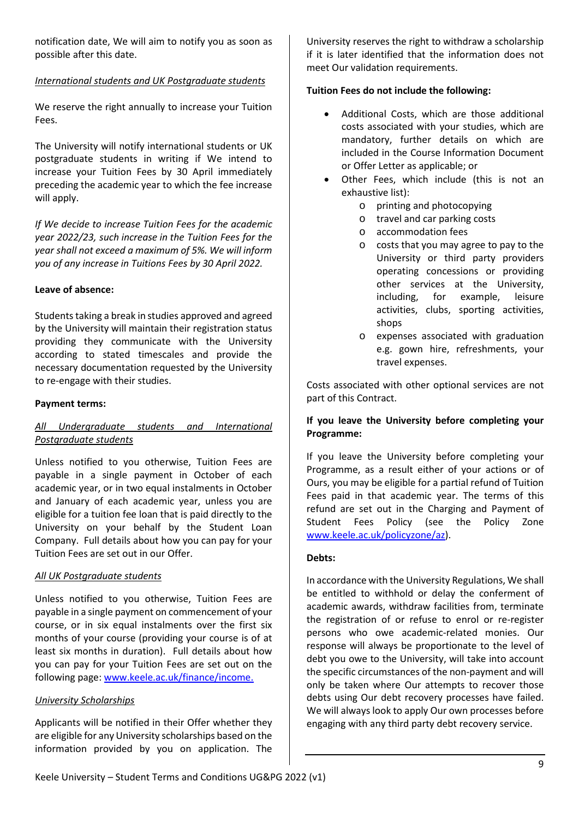notification date, We will aim to notify you as soon as possible after this date.

# *International students and UK Postgraduate students*

We reserve the right annually to increase your Tuition Fees.

The University will notify international students or UK postgraduate students in writing if We intend to increase your Tuition Fees by 30 April immediately preceding the academic year to which the fee increase will apply.

*If We decide to increase Tuition Fees for the academic year 2022/23, such increase in the Tuition Fees for the year shall not exceed a maximum of 5%. We will inform you of any increase in Tuitions Fees by 30 April 2022.*

# **Leave of absence:**

Students taking a break in studies approved and agreed by the University will maintain their registration status providing they communicate with the University according to stated timescales and provide the necessary documentation requested by the University to re-engage with their studies.

#### **Payment terms:**

# *All Undergraduate students and International Postgraduate students*

Unless notified to you otherwise, Tuition Fees are payable in a single payment in October of each academic year, or in two equal instalments in October and January of each academic year, unless you are eligible for a tuition fee loan that is paid directly to the University on your behalf by the Student Loan Company. Full details about how you can pay for your Tuition Fees are set out in our Offer.

# *All UK Postgraduate students*

Unless notified to you otherwise, Tuition Fees are payable in a single payment on commencement of your course, or in six equal instalments over the first six months of your course (providing your course is of at least six months in duration). Full details about how you can pay for your Tuition Fees are set out on the following page: [www.keele.ac.uk/finance/income.](http://www.keele.ac.uk/finance/income)

#### *University Scholarships*

Applicants will be notified in their Offer whether they are eligible for any University scholarships based on the information provided by you on application. The University reserves the right to withdraw a scholarship if it is later identified that the information does not meet Our validation requirements.

# **Tuition Fees do not include the following:**

- Additional Costs, which are those additional costs associated with your studies, which are mandatory, further details on which are included in the Course Information Document or Offer Letter as applicable; or
- Other Fees, which include (this is not an exhaustive list):
	- o printing and photocopying
	- o travel and car parking costs
	- o accommodation fees
	- o costs that you may agree to pay to the University or third party providers operating concessions or providing other services at the University, including, for example, leisure activities, clubs, sporting activities, shops
	- o expenses associated with graduation e.g. gown hire, refreshments, your travel expenses.

Costs associated with other optional services are not part of this Contract.

# **If you leave the University before completing your Programme:**

If you leave the University before completing your Programme, as a result either of your actions or of Ours, you may be eligible for a partial refund of Tuition Fees paid in that academic year. The terms of this refund are set out in the Charging and Payment of Student Fees Policy (see the Policy Zone [www.keele.ac.uk/policyzone/az\)](http://www.keele.ac.uk/policyzone/az/).

#### **Debts:**

In accordance with the University Regulations, We shall be entitled to withhold or delay the conferment of academic awards, withdraw facilities from, terminate the registration of or refuse to enrol or re-register persons who owe academic-related monies. Our response will always be proportionate to the level of debt you owe to the University, will take into account the specific circumstances of the non-payment and will only be taken where Our attempts to recover those debts using Our debt recovery processes have failed. We will always look to apply Our own processes before engaging with any third party debt recovery service.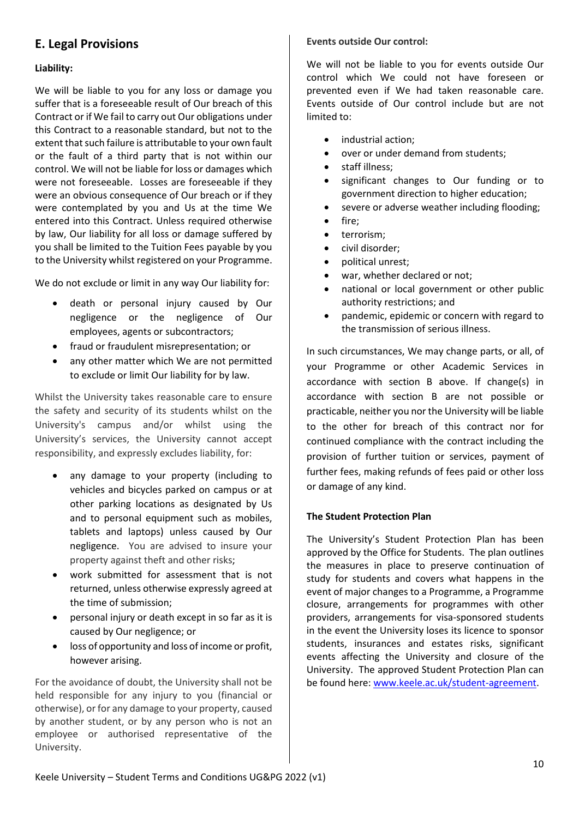# **E. Legal Provisions**

# **Liability:**

We will be liable to you for any loss or damage you suffer that is a foreseeable result of Our breach of this Contract or if We fail to carry out Our obligations under this Contract to a reasonable standard, but not to the extent that such failure is attributable to your own fault or the fault of a third party that is not within our control. We will not be liable for loss or damages which were not foreseeable. Losses are foreseeable if they were an obvious consequence of Our breach or if they were contemplated by you and Us at the time We entered into this Contract. Unless required otherwise by law, Our liability for all loss or damage suffered by you shall be limited to the Tuition Fees payable by you to the University whilst registered on your Programme.

We do not exclude or limit in any way Our liability for:

- death or personal injury caused by Our negligence or the negligence of Our employees, agents or subcontractors;
- fraud or fraudulent misrepresentation; or
- any other matter which We are not permitted to exclude or limit Our liability for by law.

Whilst the University takes reasonable care to ensure the safety and security of its students whilst on the University's campus and/or whilst using the University's services, the University cannot accept responsibility, and expressly excludes liability, for:

- any damage to your property (including to vehicles and bicycles parked on campus or at other parking locations as designated by Us and to personal equipment such as mobiles, tablets and laptops) unless caused by Our negligence. You are advised to insure your property against theft and other risks;
- work submitted for assessment that is not returned, unless otherwise expressly agreed at the time of submission;
- personal injury or death except in so far as it is caused by Our negligence; or
- loss of opportunity and loss of income or profit, however arising.

For the avoidance of doubt, the University shall not be held responsible for any injury to you (financial or otherwise), or for any damage to your property, caused by another student, or by any person who is not an employee or authorised representative of the University.

# **Events outside Our control:**

We will not be liable to you for events outside Our control which We could not have foreseen or prevented even if We had taken reasonable care. Events outside of Our control include but are not limited to:

- industrial action;
- over or under demand from students:
- staff illness:
- significant changes to Our funding or to government direction to higher education;
- severe or adverse weather including flooding;
- fire:
- terrorism;
- civil disorder;
- political unrest;
- war, whether declared or not;
- national or local government or other public authority restrictions; and
- pandemic, epidemic or concern with regard to the transmission of serious illness.

In such circumstances, We may change parts, or all, of your Programme or other Academic Services in accordance with section B above. If change(s) in accordance with section B are not possible or practicable, neither you nor the University will be liable to the other for breach of this contract nor for continued compliance with the contract including the provision of further tuition or services, payment of further fees, making refunds of fees paid or other loss or damage of any kind.

# **The Student Protection Plan**

The University's Student Protection Plan has been approved by the Office for Students. The plan outlines the measures in place to preserve continuation of study for students and covers what happens in the event of major changes to a Programme, a Programme closure, arrangements for programmes with other providers, arrangements for visa-sponsored students in the event the University loses its licence to sponsor students, insurances and estates risks, significant events affecting the University and closure of the University. The approved Student Protection Plan can be found here: [www.keele.ac.uk/student-agreement.](http://www.keele.ac.uk/student-agreement)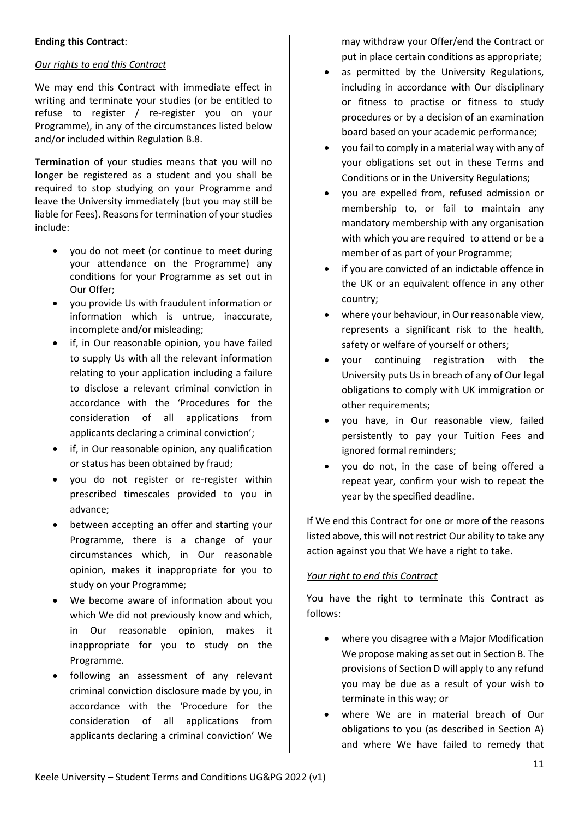# **Ending this Contract**:

# *Our rights to end this Contract*

We may end this Contract with immediate effect in writing and terminate your studies (or be entitled to refuse to register / re-register you on your Programme), in any of the circumstances listed below and/or included within Regulation B.8.

**Termination** of your studies means that you will no longer be registered as a student and you shall be required to stop studying on your Programme and leave the University immediately (but you may still be liable for Fees). Reasons for termination of your studies include:

- you do not meet (or continue to meet during your attendance on the Programme) any conditions for your Programme as set out in Our Offer;
- you provide Us with fraudulent information or information which is untrue, inaccurate, incomplete and/or misleading;
- if, in Our reasonable opinion, you have failed to supply Us with all the relevant information relating to your application including a failure to disclose a relevant criminal conviction in accordance with the 'Procedures for the consideration of all applications from applicants declaring a criminal conviction';
- if, in Our reasonable opinion, any qualification or status has been obtained by fraud;
- you do not register or re-register within prescribed timescales provided to you in advance;
- between accepting an offer and starting your Programme, there is a change of your circumstances which, in Our reasonable opinion, makes it inappropriate for you to study on your Programme;
- We become aware of information about you which We did not previously know and which, in Our reasonable opinion, makes it inappropriate for you to study on the Programme.
- following an assessment of any relevant criminal conviction disclosure made by you, in accordance with the 'Procedure for the consideration of all applications from applicants declaring a criminal conviction' We

may withdraw your Offer/end the Contract or put in place certain conditions as appropriate;

- as permitted by the University Regulations, including in accordance with Our disciplinary or fitness to practise or fitness to study procedures or by a decision of an examination board based on your academic performance;
- you fail to comply in a material way with any of your obligations set out in these Terms and Conditions or in the University Regulations;
- you are expelled from, refused admission or membership to, or fail to maintain any mandatory membership with any organisation with which you are required to attend or be a member of as part of your Programme;
- if you are convicted of an indictable offence in the UK or an equivalent offence in any other country;
- where your behaviour, in Our reasonable view, represents a significant risk to the health, safety or welfare of yourself or others;
- your continuing registration with the University puts Us in breach of any of Our legal obligations to comply with UK immigration or other requirements;
- you have, in Our reasonable view, failed persistently to pay your Tuition Fees and ignored formal reminders;
- you do not, in the case of being offered a repeat year, confirm your wish to repeat the year by the specified deadline.

If We end this Contract for one or more of the reasons listed above, this will not restrict Our ability to take any action against you that We have a right to take.

# *Your right to end this Contract*

You have the right to terminate this Contract as follows:

- where you disagree with a Major Modification We propose making as set out in Section B. The provisions of Section D will apply to any refund you may be due as a result of your wish to terminate in this way; or
- where We are in material breach of Our obligations to you (as described in Section A) and where We have failed to remedy that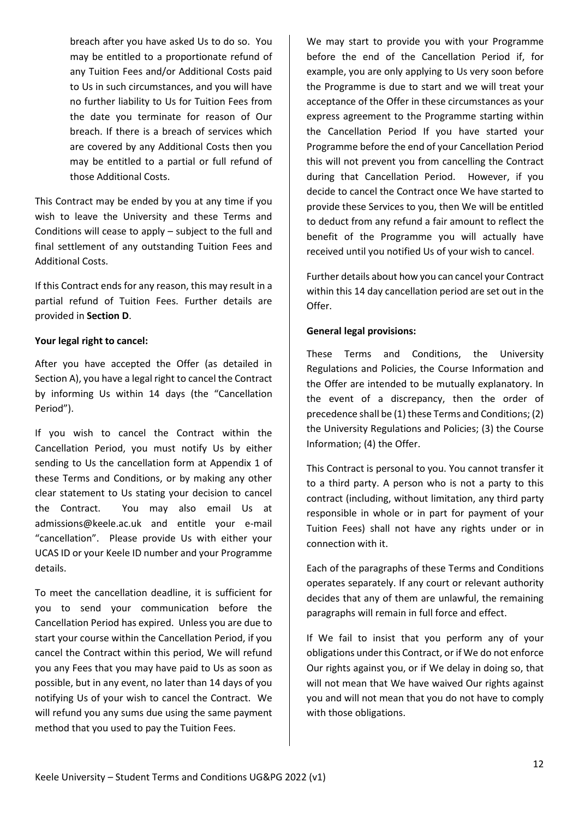breach after you have asked Us to do so. You may be entitled to a proportionate refund of any Tuition Fees and/or Additional Costs paid to Us in such circumstances, and you will have no further liability to Us for Tuition Fees from the date you terminate for reason of Our breach. If there is a breach of services which are covered by any Additional Costs then you may be entitled to a partial or full refund of those Additional Costs.

This Contract may be ended by you at any time if you wish to leave the University and these Terms and Conditions will cease to apply – subject to the full and final settlement of any outstanding Tuition Fees and Additional Costs.

If this Contract ends for any reason, this may result in a partial refund of Tuition Fees. Further details are provided in **Section D**.

# **Your legal right to cancel:**

After you have accepted the Offer (as detailed in Section A), you have a legal right to cancel the Contract by informing Us within 14 days (the "Cancellation Period").

If you wish to cancel the Contract within the Cancellation Period, you must notify Us by either sending to Us the cancellation form at Appendix 1 of these Terms and Conditions, or by making any other clear statement to Us stating your decision to cancel the Contract. You may also email Us at admissions@keele.ac.uk and entitle your e-mail "cancellation". Please provide Us with either your UCAS ID or your Keele ID number and your Programme details.

To meet the cancellation deadline, it is sufficient for you to send your communication before the Cancellation Period has expired. Unless you are due to start your course within the Cancellation Period, if you cancel the Contract within this period, We will refund you any Fees that you may have paid to Us as soon as possible, but in any event, no later than 14 days of you notifying Us of your wish to cancel the Contract. We will refund you any sums due using the same payment method that you used to pay the Tuition Fees.

We may start to provide you with your Programme before the end of the Cancellation Period if, for example, you are only applying to Us very soon before the Programme is due to start and we will treat your acceptance of the Offer in these circumstances as your express agreement to the Programme starting within the Cancellation Period If you have started your Programme before the end of your Cancellation Period this will not prevent you from cancelling the Contract during that Cancellation Period. However, if you decide to cancel the Contract once We have started to provide these Services to you, then We will be entitled to deduct from any refund a fair amount to reflect the benefit of the Programme you will actually have received until you notified Us of your wish to cancel.

Further details about how you can cancel your Contract within this 14 day cancellation period are set out in the Offer.

# **General legal provisions:**

These Terms and Conditions, the University Regulations and Policies, the Course Information and the Offer are intended to be mutually explanatory. In the event of a discrepancy, then the order of precedence shall be (1) these Terms and Conditions; (2) the University Regulations and Policies; (3) the Course Information; (4) the Offer.

This Contract is personal to you. You cannot transfer it to a third party. A person who is not a party to this contract (including, without limitation, any third party responsible in whole or in part for payment of your Tuition Fees) shall not have any rights under or in connection with it.

Each of the paragraphs of these Terms and Conditions operates separately. If any court or relevant authority decides that any of them are unlawful, the remaining paragraphs will remain in full force and effect.

If We fail to insist that you perform any of your obligations under this Contract, or if We do not enforce Our rights against you, or if We delay in doing so, that will not mean that We have waived Our rights against you and will not mean that you do not have to comply with those obligations.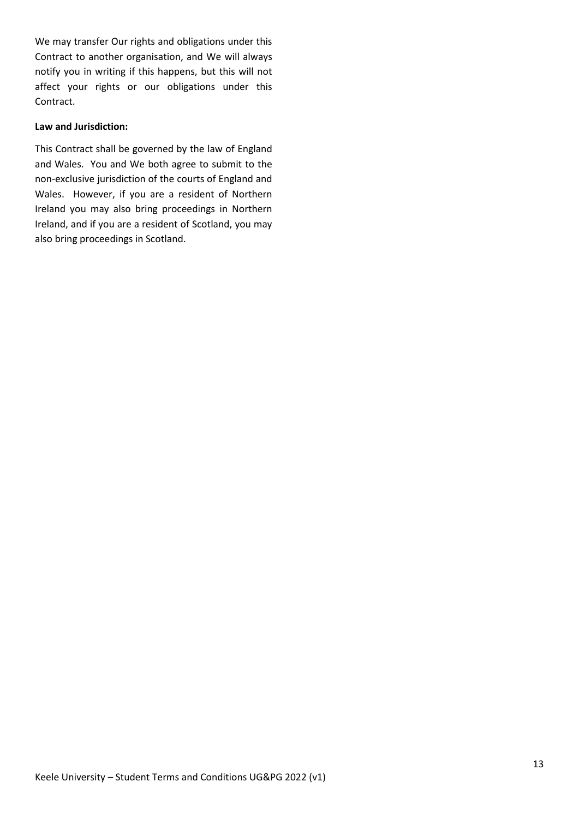We may transfer Our rights and obligations under this Contract to another organisation, and We will always notify you in writing if this happens, but this will not affect your rights or our obligations under this Contract.

#### **Law and Jurisdiction:**

This Contract shall be governed by the law of England and Wales. You and We both agree to submit to the non-exclusive jurisdiction of the courts of England and Wales. However, if you are a resident of Northern Ireland you may also bring proceedings in Northern Ireland, and if you are a resident of Scotland, you may also bring proceedings in Scotland.